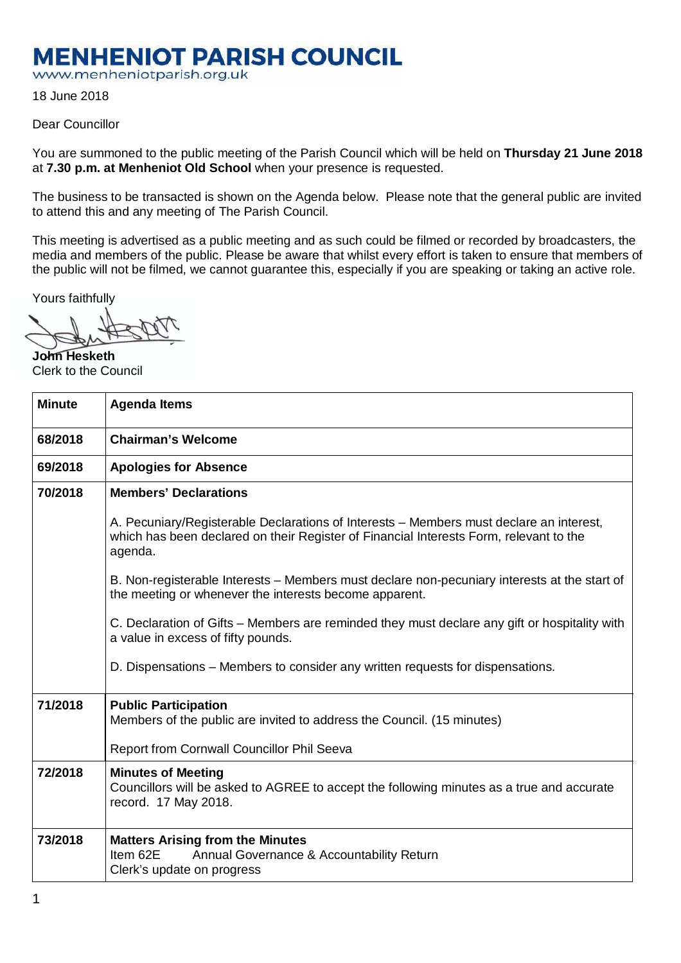## **MENHENIOT PARISH COUNCIL**

www.menheniotparish.org.uk

18 June 2018

## Dear Councillor

You are summoned to the public meeting of the Parish Council which will be held on **Thursday 21 June 2018**  at **7.30 p.m. at Menheniot Old School** when your presence is requested.

The business to be transacted is shown on the Agenda below. Please note that the general public are invited to attend this and any meeting of The Parish Council.

This meeting is advertised as a public meeting and as such could be filmed or recorded by broadcasters, the media and members of the public. Please be aware that whilst every effort is taken to ensure that members of the public will not be filmed, we cannot guarantee this, especially if you are speaking or taking an active role.

Yours faithfully

**John Hesketh**  Clerk to the Council

| <b>Minute</b> | <b>Agenda Items</b>                                                                                                                                                                          |  |  |  |
|---------------|----------------------------------------------------------------------------------------------------------------------------------------------------------------------------------------------|--|--|--|
| 68/2018       | <b>Chairman's Welcome</b>                                                                                                                                                                    |  |  |  |
| 69/2018       | <b>Apologies for Absence</b>                                                                                                                                                                 |  |  |  |
| 70/2018       | <b>Members' Declarations</b>                                                                                                                                                                 |  |  |  |
|               | A. Pecuniary/Registerable Declarations of Interests – Members must declare an interest,<br>which has been declared on their Register of Financial Interests Form, relevant to the<br>agenda. |  |  |  |
|               | B. Non-registerable Interests – Members must declare non-pecuniary interests at the start of<br>the meeting or whenever the interests become apparent.                                       |  |  |  |
|               | C. Declaration of Gifts – Members are reminded they must declare any gift or hospitality with<br>a value in excess of fifty pounds.                                                          |  |  |  |
|               | D. Dispensations – Members to consider any written requests for dispensations.                                                                                                               |  |  |  |
| 71/2018       | <b>Public Participation</b><br>Members of the public are invited to address the Council. (15 minutes)                                                                                        |  |  |  |
|               | Report from Cornwall Councillor Phil Seeva                                                                                                                                                   |  |  |  |
| 72/2018       | <b>Minutes of Meeting</b><br>Councillors will be asked to AGREE to accept the following minutes as a true and accurate<br>record. 17 May 2018.                                               |  |  |  |
| 73/2018       | <b>Matters Arising from the Minutes</b><br>Item 62E<br>Annual Governance & Accountability Return<br>Clerk's update on progress                                                               |  |  |  |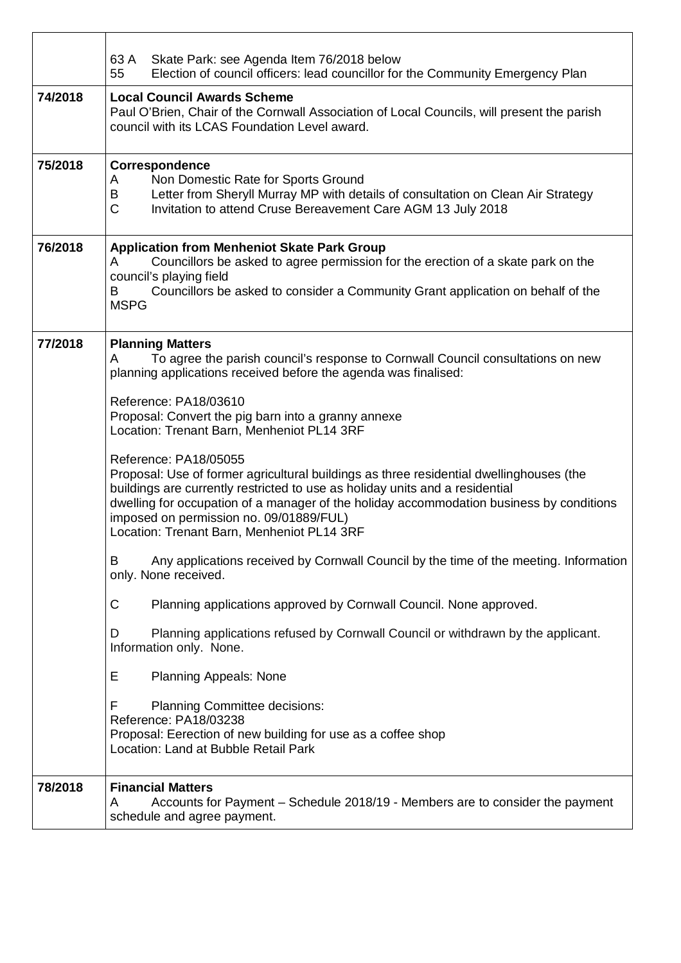|         | 63 A<br>Skate Park: see Agenda Item 76/2018 below                                                                                                                                                                                                                                                                                                                                     |  |  |  |  |  |
|---------|---------------------------------------------------------------------------------------------------------------------------------------------------------------------------------------------------------------------------------------------------------------------------------------------------------------------------------------------------------------------------------------|--|--|--|--|--|
| 74/2018 | Election of council officers: lead councillor for the Community Emergency Plan<br>55<br><b>Local Council Awards Scheme</b><br>Paul O'Brien, Chair of the Cornwall Association of Local Councils, will present the parish<br>council with its LCAS Foundation Level award.                                                                                                             |  |  |  |  |  |
| 75/2018 | Correspondence<br>Non Domestic Rate for Sports Ground<br>A                                                                                                                                                                                                                                                                                                                            |  |  |  |  |  |
|         | Letter from Sheryll Murray MP with details of consultation on Clean Air Strategy<br>В<br>$\mathsf{C}$<br>Invitation to attend Cruse Bereavement Care AGM 13 July 2018                                                                                                                                                                                                                 |  |  |  |  |  |
| 76/2018 | <b>Application from Menheniot Skate Park Group</b><br>Councillors be asked to agree permission for the erection of a skate park on the<br>A<br>council's playing field<br>Councillors be asked to consider a Community Grant application on behalf of the<br>В<br><b>MSPG</b>                                                                                                         |  |  |  |  |  |
| 77/2018 | <b>Planning Matters</b><br>To agree the parish council's response to Cornwall Council consultations on new<br>A<br>planning applications received before the agenda was finalised:                                                                                                                                                                                                    |  |  |  |  |  |
|         | Reference: PA18/03610<br>Proposal: Convert the pig barn into a granny annexe<br>Location: Trenant Barn, Menheniot PL14 3RF                                                                                                                                                                                                                                                            |  |  |  |  |  |
|         | Reference: PA18/05055<br>Proposal: Use of former agricultural buildings as three residential dwellinghouses (the<br>buildings are currently restricted to use as holiday units and a residential<br>dwelling for occupation of a manager of the holiday accommodation business by conditions<br>imposed on permission no. 09/01889/FUL)<br>Location: Trenant Barn, Menheniot PL14 3RF |  |  |  |  |  |
|         | Any applications received by Cornwall Council by the time of the meeting. Information<br>В<br>only. None received.                                                                                                                                                                                                                                                                    |  |  |  |  |  |
|         | С<br>Planning applications approved by Cornwall Council. None approved.                                                                                                                                                                                                                                                                                                               |  |  |  |  |  |
|         | Planning applications refused by Cornwall Council or withdrawn by the applicant.<br>D<br>Information only. None.                                                                                                                                                                                                                                                                      |  |  |  |  |  |
|         | E<br><b>Planning Appeals: None</b>                                                                                                                                                                                                                                                                                                                                                    |  |  |  |  |  |
|         | F<br><b>Planning Committee decisions:</b><br>Reference: PA18/03238<br>Proposal: Eerection of new building for use as a coffee shop<br>Location: Land at Bubble Retail Park                                                                                                                                                                                                            |  |  |  |  |  |
| 78/2018 | <b>Financial Matters</b><br>Accounts for Payment - Schedule 2018/19 - Members are to consider the payment<br>A<br>schedule and agree payment.                                                                                                                                                                                                                                         |  |  |  |  |  |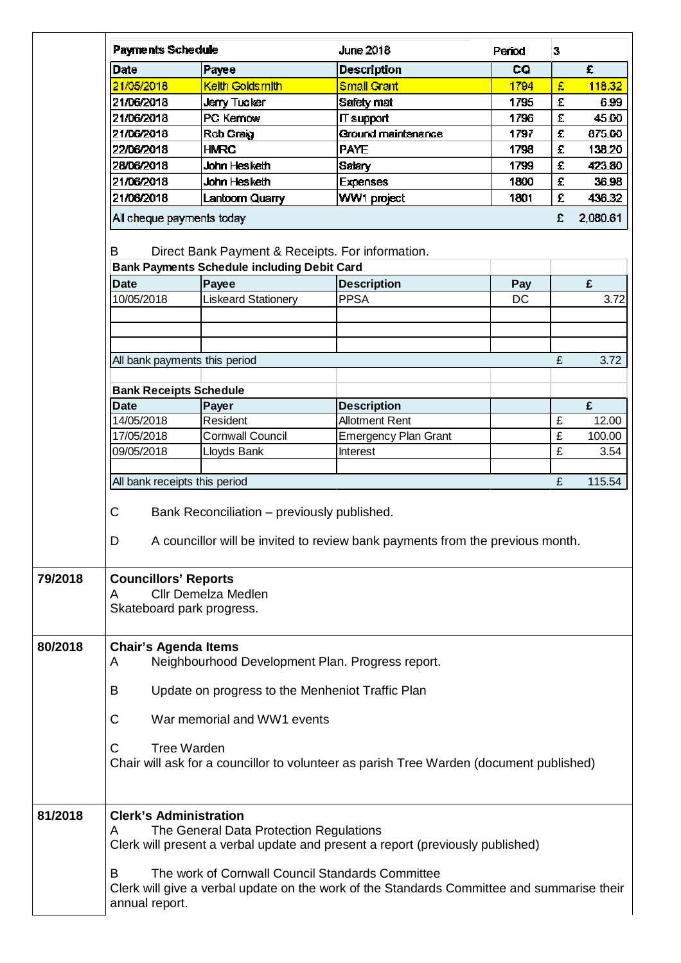|         | Payments Schedule                                                                                                                                                     |                                                    | <b>June 2018</b>            | Period | 3 |          |  |  |
|---------|-----------------------------------------------------------------------------------------------------------------------------------------------------------------------|----------------------------------------------------|-----------------------------|--------|---|----------|--|--|
|         | Date                                                                                                                                                                  | Payee                                              | <b>Description</b>          | CQ     |   | £        |  |  |
|         | 21/05/2018                                                                                                                                                            | <b>Keith Goldsmith</b>                             | <b>Small Grant</b>          | 1794   | £ | 118.32   |  |  |
|         | 21/06/2018                                                                                                                                                            | <b>Jerry Tucker</b>                                | Safety mat                  | 1795   | £ | 6.99     |  |  |
|         | 21/06/2018                                                                                                                                                            | PC Kemow                                           | IT support                  | 1796   | £ | 45.00    |  |  |
|         | 21/06/2018                                                                                                                                                            | Rob Craig                                          | Ground maintenance          | 1797   | £ | 875.00   |  |  |
|         | 22/06/2018                                                                                                                                                            | <b>HMRC</b>                                        | <b>PAYE</b>                 | 1798   | £ | 138.20   |  |  |
|         | 28/06/2018                                                                                                                                                            | John Hesketh                                       | Salary                      | 1799   | £ | 423.80   |  |  |
|         | 21/06/2018                                                                                                                                                            | John Hesketh                                       | <b>Expenses</b>             | 1800   | £ | 36.98    |  |  |
|         | 21/06/2018                                                                                                                                                            | Lantoorn Quarry                                    | WW1 project                 | 1801   | £ | 436.32   |  |  |
|         | All cheque payments today                                                                                                                                             |                                                    |                             |        | £ | 2,080.61 |  |  |
|         | Direct Bank Payment & Receipts. For information.<br>B                                                                                                                 |                                                    |                             |        |   |          |  |  |
|         |                                                                                                                                                                       | <b>Bank Payments Schedule including Debit Card</b> |                             |        |   |          |  |  |
|         | <b>Date</b>                                                                                                                                                           | Payee                                              | <b>Description</b>          | Pay    |   | £        |  |  |
|         | 10/05/2018                                                                                                                                                            | <b>Liskeard Stationery</b>                         | <b>PPSA</b>                 | DC     |   | 3.72     |  |  |
|         |                                                                                                                                                                       |                                                    |                             |        |   |          |  |  |
|         |                                                                                                                                                                       |                                                    |                             |        |   |          |  |  |
|         |                                                                                                                                                                       |                                                    |                             |        |   |          |  |  |
|         | All bank payments this period                                                                                                                                         |                                                    |                             |        | £ | 3.72     |  |  |
|         |                                                                                                                                                                       |                                                    |                             |        |   |          |  |  |
|         | <b>Bank Receipts Schedule</b>                                                                                                                                         |                                                    |                             |        |   |          |  |  |
|         | <b>Date</b>                                                                                                                                                           | Payer                                              | <b>Description</b>          |        |   | £        |  |  |
|         | 14/05/2018                                                                                                                                                            | Resident                                           | <b>Allotment Rent</b>       |        | £ | 12.00    |  |  |
|         | 17/05/2018                                                                                                                                                            | <b>Cornwall Council</b>                            | <b>Emergency Plan Grant</b> |        | £ | 100.00   |  |  |
|         | 09/05/2018                                                                                                                                                            | Lloyds Bank                                        | Interest                    |        | £ | 3.54     |  |  |
|         |                                                                                                                                                                       |                                                    |                             |        | £ | 115.54   |  |  |
|         | All bank receipts this period                                                                                                                                         |                                                    |                             |        |   |          |  |  |
|         | C                                                                                                                                                                     |                                                    |                             |        |   |          |  |  |
|         | Bank Reconciliation - previously published.<br>A councillor will be invited to review bank payments from the previous month.                                          |                                                    |                             |        |   |          |  |  |
|         | D                                                                                                                                                                     |                                                    |                             |        |   |          |  |  |
| 79/2018 | <b>Councillors' Reports</b>                                                                                                                                           |                                                    |                             |        |   |          |  |  |
|         | <b>Cllr Demelza Medlen</b><br>A                                                                                                                                       |                                                    |                             |        |   |          |  |  |
|         |                                                                                                                                                                       | Skateboard park progress.                          |                             |        |   |          |  |  |
|         |                                                                                                                                                                       |                                                    |                             |        |   |          |  |  |
| 80/2018 |                                                                                                                                                                       |                                                    |                             |        |   |          |  |  |
|         | <b>Chair's Agenda Items</b><br>Neighbourhood Development Plan. Progress report.<br>A                                                                                  |                                                    |                             |        |   |          |  |  |
|         |                                                                                                                                                                       |                                                    |                             |        |   |          |  |  |
|         | B<br>Update on progress to the Menheniot Traffic Plan<br>C<br>War memorial and WW1 events                                                                             |                                                    |                             |        |   |          |  |  |
|         |                                                                                                                                                                       |                                                    |                             |        |   |          |  |  |
|         | C<br><b>Tree Warden</b>                                                                                                                                               |                                                    |                             |        |   |          |  |  |
|         | Chair will ask for a councillor to volunteer as parish Tree Warden (document published)                                                                               |                                                    |                             |        |   |          |  |  |
|         |                                                                                                                                                                       |                                                    |                             |        |   |          |  |  |
| 81/2018 | <b>Clerk's Administration</b>                                                                                                                                         |                                                    |                             |        |   |          |  |  |
|         | The General Data Protection Regulations<br>A                                                                                                                          |                                                    |                             |        |   |          |  |  |
|         | Clerk will present a verbal update and present a report (previously published)                                                                                        |                                                    |                             |        |   |          |  |  |
|         |                                                                                                                                                                       |                                                    |                             |        |   |          |  |  |
|         | The work of Cornwall Council Standards Committee<br>B<br>Clerk will give a verbal update on the work of the Standards Committee and summarise their<br>annual report. |                                                    |                             |        |   |          |  |  |